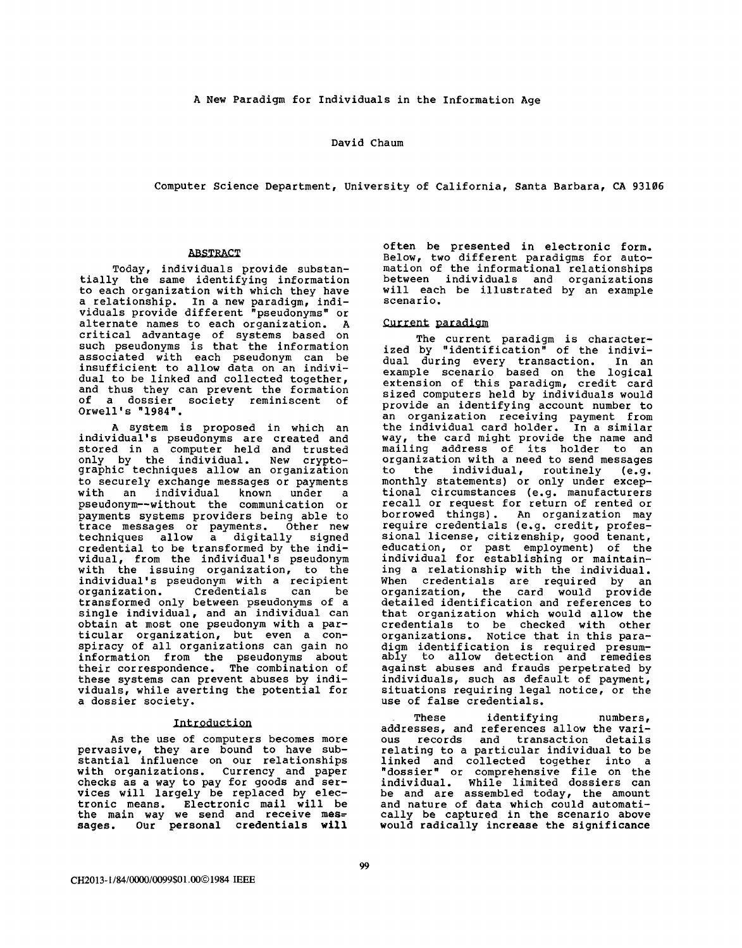### David Chaum

Computer Science Department, University of California, Santa Barbara, CA 93106

## **ABSTRACT**

Today, individuals provide substantially the same identifying information to each organization with which they have a relationship. In a new paradigm, individuals provide different "pseudonyms" or alternate names to each organization. A critical advantage of systems based on such pseudonyms is that the information associated with each pseudonym can be insufficient to allow data on an individual to be linked and collected together, and thus they can prevent the formation of a dossier society reminiscent of Orwell's "1984".

A system is proposed in which an individual's pseudonyms are created and stored in a computer held and trusted only by the individual. New cryptographic techniques allow an organization to securely exchange messages or payments with an individual known under a pseudonym-- without the communication or payments systems providers being able to trace messages or payments. Other new techniques allow a digitally signed credential to be transformed by the individual, from the individual's pseudonym with the issuing organization, to the individual's pseudonym with a recipient Credentials transformed only between pseudonyms of a single individual, and an individual can obtain at most one pseudonym with a particular organization, but even a conspiracy of all organizations can gain no information from the pseudonyms about their correspondence. The combination of these systems can prevent abuses by individuals, while averting the potential for a dossier society.

#### Introduction

As the use of computers becomes more pervasive, they are bound to have substantial influence on our relationships with organizations. Currency and paper checks as a way to pay for goods and services will largely be replaced by electronic means. Electronic mail will be the main way we send and receive m**es**= sages. Our personal credentials will

often be presented in electronic form. Below, two different paradigms for automation of the informational relationships between individuals and organizations will each be illustrated by an example scenario.

# Current paradigm

The current paradigm is characterized by "identification\* of the individual during every transaction. In an example scenario based on the extension of this paradigm, credit card sized computers held by individuals would provide an identifying account number to an organization receiving payment from the individual card holder. In a similar way, the card might provide the name and mailing address of its holder to an organization with a need to send messages to the individual, routinely (e.g. monthly statements) or only under exceptional circumstances (e.g. manufacturers recall or request for return of rented or borrowed things). An organization may require credentials (e.g. credit, professional license, citizenship, good tenant, education, or past employment) of the individual for establishing or maintaining a relationship with the individual. When credentials are required by an organization, the card would provide detailed identification and references to that organization which would allow the credentials to be checked with other organizations. Notice that in this paradigm identification is required presum-<br>ably to allow detection and remedies to allow detection and remedies against abuses and frauds perpetrated by individuals, such as default of payment, situations requiring legal notice, or the use of false credentials.

These identifying numbers, addresses, and references allow the various records and transaction details relating to a particular individual to be linked and collected together into a "dossier" or comprehensive file on the individual. While limited dossiers can be and are assembled today, the amount and nature of data which could automatically be captured in the scenario above would radically increase the significance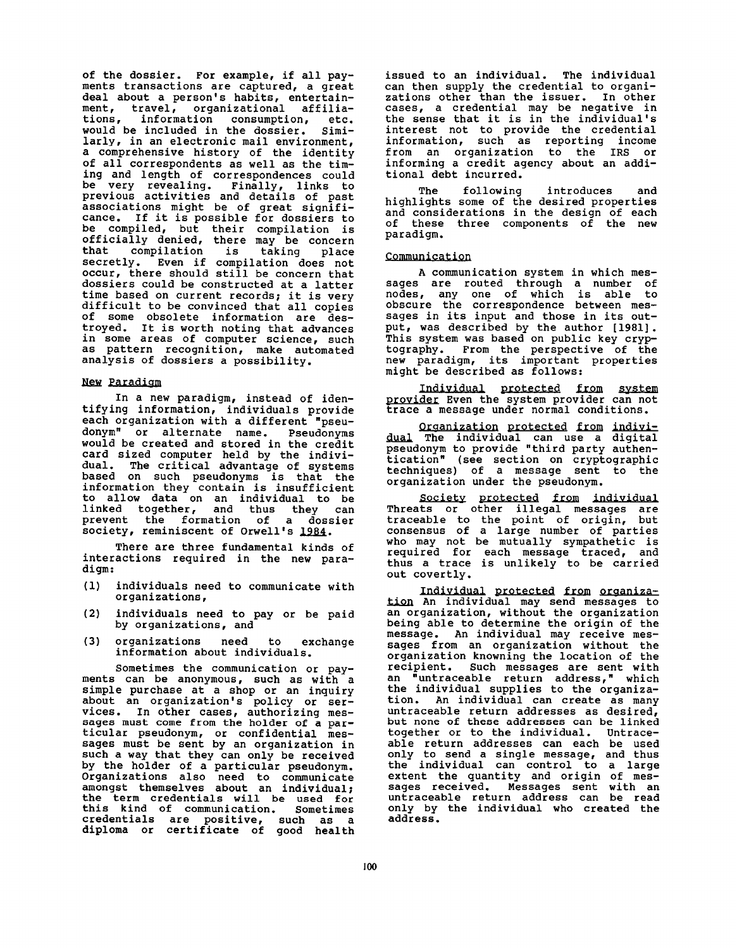of the dossier. For example, if all payments transactions are captured, a great deal about a person's habits, entertainment, travel, organizational affilia-<br>tions, information consumption, etc. information consumption, etc.<br>eincluded in the dossier. Simiwould be included in the dossier. larly, in an electronic mail environment, a comprehensive history of the identity of all correspondents as well as the timing and length of correspondences could be very revealing. Finally, links to previous activities and details of past associations might be of great significance. If it is possible for dossiers to be compiled, but their compilation is officially denied, there may be concern that compilation is taking place secretly. Even if compilation does not occur, there should still be concern that dossiers could be constructed at a latter time based on current records; it is very difficult to be convinced that all copies of some obsolete information are destroyed. It is worth noting that advances in some areas of computer science, such as pattern recognition, make automated analysis of dossiers a possibility.

#### New Paradigm

In a new paradigm, instead of identifying information, individuals provide each organization with a different "pseudonym" or alternate name. Pseudonyms would be created and stored in the credit card sized computer held by the individual. The critical advantage of systems based on such pseudonyms is that the information they contain is insufficient to allow data on an individual to be linked together, and thus they can prevent the formation of a dossier society, reminiscent of Orwell's 1984.

There are three fundamental kinds of interactions required in the new paradigm:

- (1) individuals need to communicate with organizations,
- (2) individuals need to pay or be paid by organizations, and
- (3) organizations need to exchange information about individuals.

Sometimes the communication or payments can be anonymous, such as with a simple purchase at a shop or an inquiry about an organization's policy or services. In other cases, authorizing messages must come from the holder of a particular pseudonym, or confidential messages must be sent by an organization in such a way that they can only be received by the holder of a particular pseudonym. Organizations also need to communicate amongst themselves about an individual; the term credentials will be used for this kind of communication. Sometimes credentials are positive, such as a diploma or certificate of good health

issued to an individual. The individual can then supply the credential to organizations other than the issuer. In other cases, a credential may be negative in the sense that it is in the individual's interest not to provide the credential information, such as reporting income from an organization to the IRS or informing a credit agency about an additional debt incurred.

The following introduces and highlights some of the desired properties and considerations in the design of each of these three components of the new paradigm.

# Communication

A communication system in which messages are routed through a number of nodes, any one of which is able to obscure the correspondence between messages in its input and those in its output, was described by the author [1981]. This system was based on public key cryptography. From the perspective of the new paradigm, its important properties might be described as follows:

Individual protected from system<br><u>provider</u> Even the system provider can not<br>trace a message under normal conditions.

Organization protected from indivi-<u>dual</u> The individual can use a digital pseudonym to provide "third party authentication" (see section on cryptographic techniques) of a message sent to the organization under the pseudonym.

Society protected from individual Threats or other illegal messages are traceable to the point of origin, but consensus of a large number of parties who may not be mutually sympathetic is required for each message traced, and thus a trace is unlikely to be carried out covertly.

Individual protected from organization An individual may send messages to an organization, without the organization being able to determine the origin of the message. An individual may receive messages from an organization without the organization knowning the location of the recipient. Such messages are sent with an 'untraceable return address," which the individual supplies to the organization. An individual can create as many untraceable return addresses as desired, but **none of these** addresses can be linked together or to the individual. Untraceable return addresses can each be used only to send a single message, and thus the individual can control to a large extent the quantity and origin of messages received. Messages sent with an untraceable return address can be read only by the individual who created the address.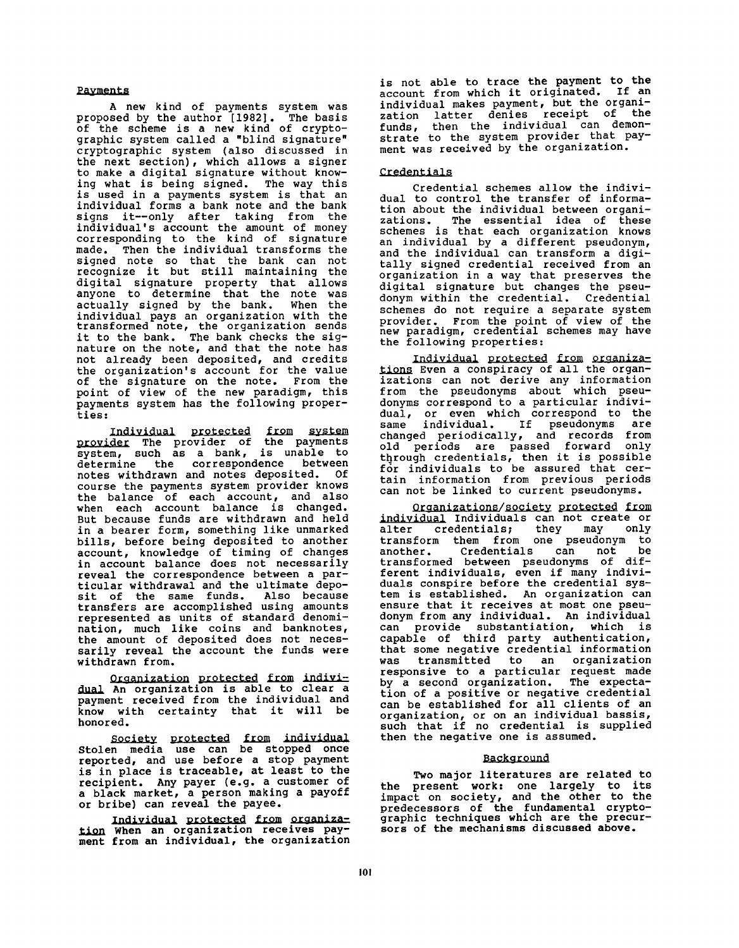#### Payments

A new kind of payments system was proposed by the author [1982]. The basis of the scheme is a new kind of cryptographic system called a "blind signature" cryptographic system (also discussed in the next section), which allows a signer to make a digital signature without knowing what is being signed. The way this is used in a payments system is that an individual forms a bank note and the bank signs it--only after taking from the individual's account the amount of money corresponding to the kind of signature made. Then the individual transforms the signed note so that the bank can not recognize it but still maintaining the digital signature property that allows anyone to determine that the note was actually signed by the bank. When the individual pays an organization with the transformed note, the organization sends it to the bank. The bank checks the signature on the note, and that the note has not already been deposited, and credits the organization's account for the value of the signature on the note. From the point of view of the new paradigm, this payments system has the following properties:

Individual protected fr provider The provider of the payments<br>system, such as a bank, is unable to determine the correspondence between notes withdrawn and notes deposited. Of course the payments system provider knows the balance of each account, and also when each account balance is changed. But because funds are withdrawn and held in a bearer form, something like unmarked bills, before being deposited to another account, knowledge of timing of changes in account balance does not necessarily reveal the correspondence between a particular withdrawal and the ultimate depo-<br>sit of the same funds. Also because sit of the same funds. transfers are accomplished using amounts represented as units of standard denomination, much like coins and banknotes, the amount of deposited does not necessarily reveal the account the funds were withdrawn from.

Organization protected from indi dual An organization is able to clear a payment received from the individual and know with certainty that it will be honored.

Society <u>protected</u> from individual<br>Stolen media use can be stopped once reported, and use before a stop payment is in place is traceable, at least to the recipient. Any payer (e.g. a customer of a black market, a person making a payoff or bribe) can reveal the payee.

Individual prot <u>tion</u> When an organization receives payment from an individual, the organization is not able to trace the payment to the account from which it originated. If an individual makes payment, but the organization latter denies receipt of the funds, then the individual can demonstrate to the system provider that payment was received by the organization.

## Credentials

Credential schemes allow the individual to control the transfer of information about the individual between organi-<br>zations. The essential idea of these The essential idea of these schemes is that each organization knows an individual by a different pseudonym, and the individual can transform a digitally signed credential received from an organization in a way that preserves the digital signature but changes the pseudonym within the credential. Credential schemes do not require a separate system provider. From the point of view of the new paradigm, credential schemes may have the following properties:

Individual protect tions Even a conspiracy of all the organizations can not derive any information from the pseudonyms about which pseudonyms correspond to a particular individual, or even which correspond to the same individual. If pseudonyms are changed periodically, and records from old periods are passed forward only through credentials, then it is possible for individuals to be assured that certain information from previous periods can not be linked to current pseudonyms.

.<br>Organizations/soc <u>. Organizations/society protected</u> from alter credentials; they may only transform them from one pseudonym to another. Credentials can not be transformed between pseudonyms of different individuals, even if many individuals conspire before the credential system is established. An organization can ensure that it receives at most one pseudonym from any individual. An individual can provide substantiation, which is capable of third party authentication, that some negative credential information was transmitted to an organization responsive to a particular request made by a second organization. The expectation of a positive or negative credential can be established for all clients of an organization, or on an individual bassis, such that if no credential is supplied then the negative one is assumed.

## Background

TWO major literatures are related to the present work: one largely to its impact on society, and the other to the predecessors of the fundamental cryptographic techniques which are the precursors of the mechanisms discussed above.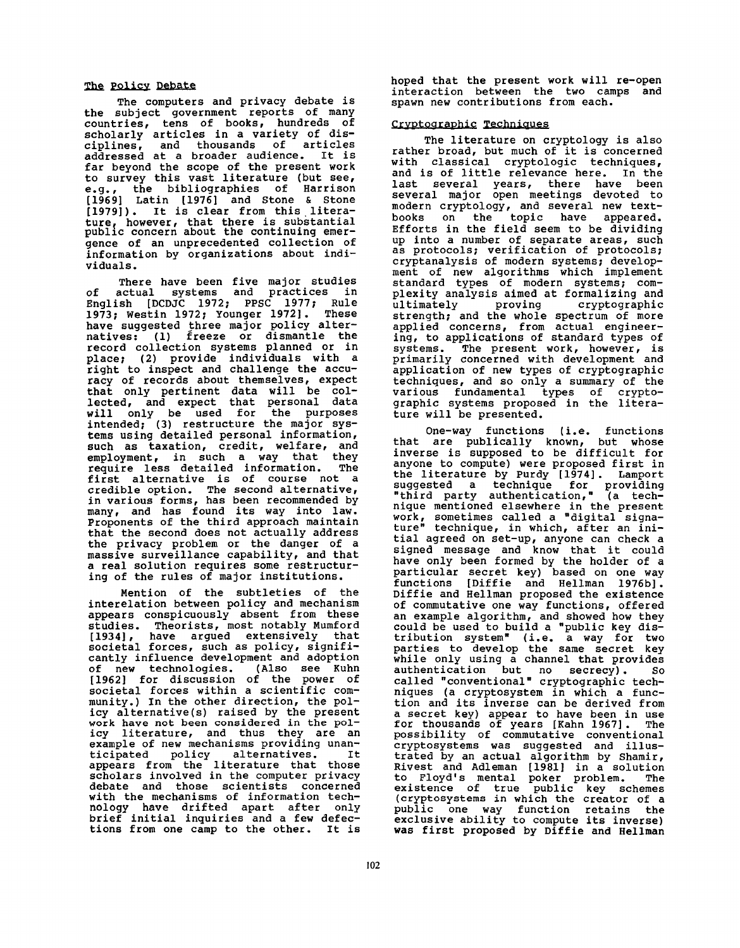# The Policy Debate

The computers and privacy debate is the subject government reports of many countries, tens of books, hundreds of scholarly articles in a variety of disciplines, and thousands of articles addressed at a broader audience. It is far beyond the scope of the present work to survey this vast literature (but see, e.g., the bibliographies of Harrison [1969] Latin [19761 and Stone & Stone [1979]). It is clear from this literature, however, that there is substantial<br>public concern about the continuing emergence of an unprecedented collection of information by organizations about individuals.

There have been five major studies<br>actual systems and practices in of actual systems and practices in English [DCDJC 1972; PPSC 1977; Rule 1973; Westin 1972; Younger 1972]. These have suggested three major policy alternatives: (1) freeze or dismantle the record collection systems planned or in place; (2) provide individuals with a right to inspect and challenge the accuracy of records about themselves, expect that only pertinent data will be collected, and expect that personal data will only be used for the purposes intended; (3) restructure the major systems using detailed personal information, such as taxation, credit, welfare, and employment, in such a way that they require less detailed information. The first alternative is of course not a credible option. The second alternative, in various forms, has been recommended by many, and has found its way into law. Proponents of the third approach maintain that the second does not actually address the privacy problem or the danger of a massive surveillance capability, and that a real solution requires some restructuring of the rules of major institutions.

Mention of the subtleties of the interelation between policy and mechanism appears conspicuously absent from these<br>studies. Theorists, most notably Mumford Theorists, most notably Mumford [1934], have argued extensively that societal forces, such as policy, significantly influence development and adoption of new technologies. (Also see Kuhn [1962] for discussion of the power of societal forces within a scientific community.) In the other direction, the policy alternative(s) raised by the present work have not been considered in the policy literature, and thus they are an example of new mechanisms providing unanticipated policy alternatives. It appears from the literature that those scholars involved in the computer privacy debate and those scientists concerned with the mechanisms of information technology have drifted apart after only brief initial inquiries and a few defections from one camp to the other. It is hoped that the present work will re-open interaction between the two camps and spawn new contributions from each.

# Cryptographic Techniques

The literature on cryptology is also rather broad, but much of it is concerned with classical cryptologic techniques, and is of little relevance here. In the last several years, there have been several major open meetings devoted to modern cryptology, and several new textbooks on the topic have appeared. Efforts in the field seem to be dividing up into a number of separate areas, such as protocols; verification of protocols; cryptanalysts of modern systems; development of new algorithms which implement standard types of modern systems; complexity analysis aimed at formalizing and cryptographic strength; and the whole spectrum of more applied concerns, from actual engineering, to applications of standard types of systems. The present work, however, is primarily concerned with development and application of new types of cryptographic techniques, and so only a summary of the various fundamental types of cryptographic systems proposed in the literature will be presented.

One-way functions [i.e. functions that are publically known, but whose inverse is supposed to be difficult for anyone to compute] were proposed first in the literature by Purdy [1974]. Lamport suggested a technique for providir "third party authentication," nique mentioned elsewhere in the present work, sometimes called a "digital signature" technique, in which, after an initial agreed on set-up, anyone can check a signed message and know that it could have only been formed by the holder of a particular secret key] based on one way functions [Diffie and Hellman 1976b]. Diffie and Hellman proposed the existence of commutative one way functions, offered an example algorithm, and showed how they could be used to build a "public key distribution system" (i.e. a way for two parties to develop the same secret key while only using a channel that provides authentication but no secrecy). So called "conventional" cryptographic techniques (a cryptosystem in which a function and its inverse can be derived from a secret key) appear to have been in use for thousands of years [Kahn 1967]. The possibility of commutative conventional cryptosystems was suggested and illustrated by an actual algorithm by Shamir, Rivest and Adleman [1981] in a solution to Floyd's mental poker problem. The existence of true public key schemes (cryptosystems in which the creator of a public one way function retains the exclusive ability to compute its inverse] was first proposed by Diffie and Hellman